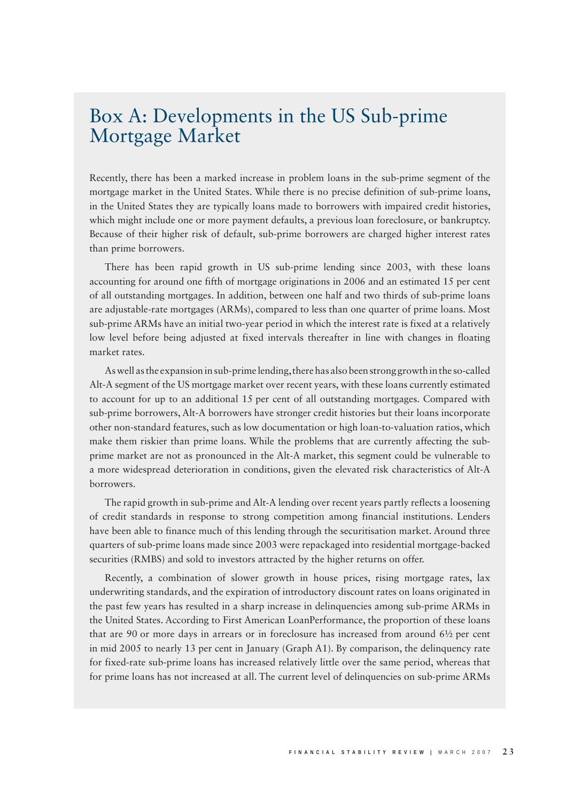## Box A: Developments in the US Sub-prime Mortgage Market

Recently, there has been a marked increase in problem loans in the sub-prime segment of the mortgage market in the United States. While there is no precise definition of sub-prime loans, in the United States they are typically loans made to borrowers with impaired credit histories, which might include one or more payment defaults, a previous loan foreclosure, or bankruptcy. Because of their higher risk of default, sub-prime borrowers are charged higher interest rates than prime borrowers.

There has been rapid growth in US sub-prime lending since 2003, with these loans accounting for around one fifth of mortgage originations in 2006 and an estimated 15 per cent of all outstanding mortgages. In addition, between one half and two thirds of sub-prime loans are adjustable-rate mortgages (ARMs), compared to less than one quarter of prime loans. Most sub-prime ARMs have an initial two-year period in which the interest rate is fixed at a relatively low level before being adjusted at fixed intervals thereafter in line with changes in floating market rates.

As well as the expansion in sub-prime lending, there has also been strong growth in the so-called Alt-A segment of the US mortgage market over recent years, with these loans currently estimated to account for up to an additional 15 per cent of all outstanding mortgages. Compared with sub-prime borrowers, Alt-A borrowers have stronger credit histories but their loans incorporate other non-standard features, such as low documentation or high loan-to-valuation ratios, which make them riskier than prime loans. While the problems that are currently affecting the subprime market are not as pronounced in the Alt-A market, this segment could be vulnerable to a more widespread deterioration in conditions, given the elevated risk characteristics of Alt-A borrowers.

The rapid growth in sub-prime and Alt-A lending over recent years partly reflects a loosening of credit standards in response to strong competition among financial institutions. Lenders have been able to finance much of this lending through the securitisation market. Around three quarters of sub-prime loans made since 2003 were repackaged into residential mortgage-backed securities (RMBS) and sold to investors attracted by the higher returns on offer.

Recently, a combination of slower growth in house prices, rising mortgage rates, lax underwriting standards, and the expiration of introductory discount rates on loans originated in the past few years has resulted in a sharp increase in delinquencies among sub-prime ARMs in the United States. According to First American LoanPerformance, the proportion of these loans that are 90 or more days in arrears or in foreclosure has increased from around 6½ per cent in mid 2005 to nearly 13 per cent in January (Graph A1). By comparison, the delinquency rate for fixed-rate sub-prime loans has increased relatively little over the same period, whereas that for prime loans has not increased at all. The current level of delinquencies on sub-prime ARMs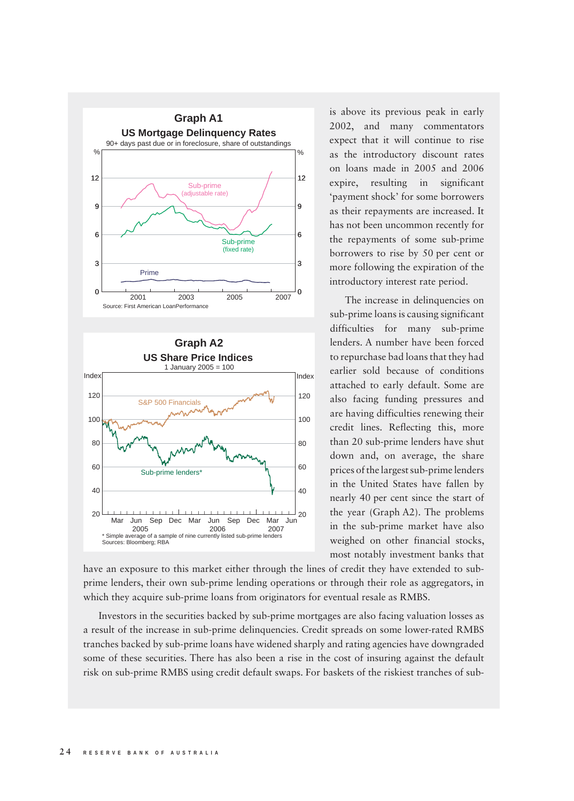

is above its previous peak in early 2002, and many commentators expect that it will continue to rise as the introductory discount rates on loans made in 2005 and 2006 expire, resulting in significant 'payment shock' for some borrowers as their repayments are increased. It has not been uncommon recently for the repayments of some sub-prime borrowers to rise by 50 per cent or more following the expiration of the introductory interest rate period.

The increase in delinquencies on sub-prime loans is causing significant difficulties for many sub-prime lenders. A number have been forced to repurchase bad loans that they had earlier sold because of conditions attached to early default. Some are also facing funding pressures and are having difficulties renewing their credit lines. Reflecting this, more than 20 sub-prime lenders have shut down and, on average, the share prices of the largest sub-prime lenders in the United States have fallen by nearly 40 per cent since the start of the year (Graph A2). The problems in the sub-prime market have also weighed on other financial stocks, most notably investment banks that

have an exposure to this market either through the lines of credit they have extended to subprime lenders, their own sub-prime lending operations or through their role as aggregators, in which they acquire sub-prime loans from originators for eventual resale as RMBS.

Investors in the securities backed by sub-prime mortgages are also facing valuation losses as a result of the increase in sub-prime delinquencies. Credit spreads on some lower-rated RMBS tranches backed by sub-prime loans have widened sharply and rating agencies have downgraded some of these securities. There has also been a rise in the cost of insuring against the default risk on sub-prime RMBS using credit default swaps. For baskets of the riskiest tranches of sub